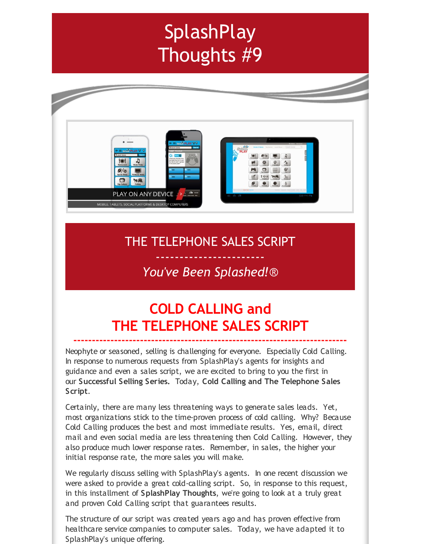# **SplashPlay** Thoughts #9



### THE TELEPHONE SALES SCRIPT

### ----------------------- *You've Been Splashed!*®

## **COLD CALLING and THE TELEPHONE SALES SCRIPT**

**--------------------------------------------------------------------------**

Neophyte or seasoned, selling is challenging for everyone. Especially Cold Calling. In response to numerous requests from SplashPlay's agents for insights and guidance and even a sales script, we are excited to bring to you the first in our **Successful Selling Series.** Today, **Cold Calling and The Telephone Sales Script**.

Certainly, there are many less threatening ways to generate sales leads. Yet, most organizations stick to the time-proven process of cold calling. Why? Because Cold Calling produces the best and most immediate results. Yes, email, direct mail and even social media are less threatening then Cold Calling. However, they also produce much lower response rates. Remember, in sales, the higher your initial response rate, the more sales you will make.

We regularly discuss selling with SplashPlay's agents. In one recent discussion we were asked to provide a great cold-calling script. So, in response to this request, in this installment of **SplashPlay Thoughts**, we're going to look at a truly great and proven Cold Calling script that guarantees results.

The structure of our script was created years ago and has proven effective from healthcare service companies to computer sales. Today, we have adapted it to SplashPlay's unique offering.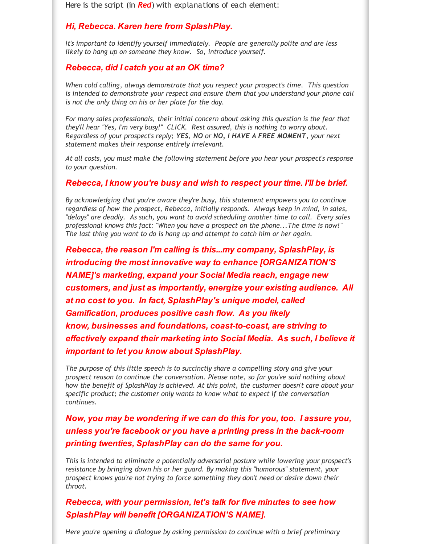Here is the script (in **Red**) with explanations of each element:

#### *Hi, Rebecca. Karen here from SplashPlay.*

*It's important to identify yourself immediately. People are generally polite and are less likely to hang up on someone they know. So, introduce yourself.*

#### *Rebecca, did I catch you at an OK time?*

*When cold calling, always demonstrate that you respect your prospect's time. This question is intended to demonstrate your respect and ensure them that you understand your phone call is not the only thing on his or her plate for the day.*

*For many sales professionals, their initial concern about asking this question is the fear that they'll hear "Yes, I'm very busy!" CLICK. Rest assured, this is nothing to worry about. Regardless of your prospect's reply; YES, NO or NO, I HAVE A FREE MOMENT, your next statement makes their response entirely irrelevant.*

*At all costs, you must make the following statement before you hear your prospect's response to your question.*

#### *Rebecca, I know you're busy and wish to respect your time. I'll be brief.*

*By acknowledging that you're aware they're busy, this statement empowers you to continue regardless of how the prospect, Rebecca, initially responds. Always keep in mind, in sales, "delays" are deadly. As such, you want to avoid scheduling another time to call. Every sales professional knows this fact: "When you have a prospect on the phone...The time is now!" The last thing you want to do is hang up and attempt to catch him or her again.*

*Rebecca, the reason I'm calling is this...my company, SplashPlay, is introducing the most innovative way to enhance [ORGANIZATION'S NAME]'s marketing, expand your Social Media reach, engage new customers, and just as importantly, energize your existing audience. All at no cost to you. In fact, SplashPlay's unique model, called Gamification, produces positive cash flow. As you likely know, businesses and foundations, coast-to-coast, are striving to effectively expand their marketing into Social Media. As such, I believe it important to let you know about SplashPlay.*

*The purpose of this little speech is to succinctly share a compelling story and give your prospect reason to continue the conversation. Please note, so far you've said nothing about how the benefit of SplashPlay is achieved. At this point, the customer doesn't care about your specific product; the customer only wants to know what to expect if the conversation continues.*

*Now, you may be wondering if we can do this for you, too. I assure you, unless you're facebook or you have a printing press in the back-room printing twenties, SplashPlay can do the same for you.*

*This is intended to eliminate a potentially adversarial posture while lowering your prospect's resistance by bringing down his or her guard. By making this "humorous" statement, your prospect knows you're not trying to force something they don't need or desire down their throat.*

*Rebecca, with your permission, let's talk for five minutes to see how SplashPlay will benefit [ORGANIZATION'S NAME].*

*Here you're opening a dialogue by asking permission to continue with a brief preliminary*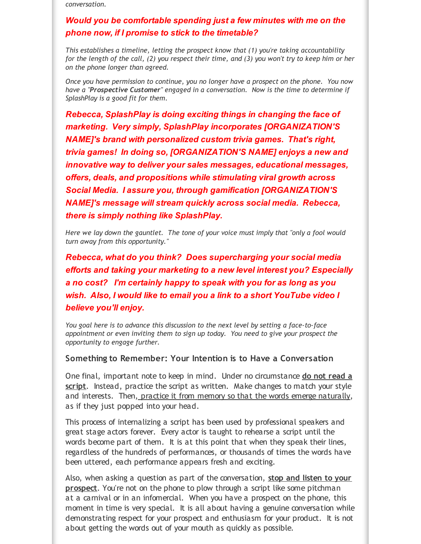*conversation.*

### *Would you be comfortable spending just a few minutes with me on the phone now, if I promise to stick to the timetable?*

*This establishes a timeline, letting the prospect know that (1) you're taking accountability* for the length of the call, (2) you respect their time, and (3) you won't try to keep him or her *on the phone longer than agreed.*

*Once you have permission to continue, you no longer have a prospect on the phone. You now have a "Prospective Customer" engaged in a conversation. Now is the time to determine if SplashPlay is a good fit for them.*

*Rebecca, SplashPlay is doing exciting things in changing the face of marketing. Very simply, SplashPlay incorporates [ORGANIZATION'S NAME]'s brand with personalized custom trivia games. That's right, trivia games! In doing so, [ORGANIZATION'S NAME] enjoys a new and innovative way to deliver your sales messages, educational messages, offers, deals, and propositions while stimulating viral growth across Social Media. I assure you, through gamification [ORGANIZATION'S NAME]'s message will stream quickly across social media. Rebecca, there is simply nothing like SplashPlay.*

*Here we lay down the gauntlet. The tone of your voice must imply that "only a fool would turn away from this opportunity."*

*Rebecca, what do you think? Does supercharging your social media efforts and taking your marketing to a new level interest you? Especially a no cost? I'm certainly happy to speak with you for as long as you wish. Also, I would like to email you a link to a short YouTube video I believe you'll enjoy.*

*You goal here is to advance this discussion to the next level by setting a face-to-face appointment or even inviting them to sign up today. You need to give your prospect the opportunity to engage further.*

#### **Something to Remember: Your Intention is to Have a Conversation**

One final, important note to keep in mind. Under no circumstance **do not read a script**. Instead, practice the script as written. Make changes to match your style and interests. Then, practice it from memory so that the words emerge naturally, as if they just popped into your head.

This process of internalizing a script has been used by professional speakers and great stage actors forever. Every actor is taught to rehearse a script until the words become part of them. It is at this point that when they speak their lines, regardless of the hundreds of performances, or thousands of times the words have been uttered, each performance appears fresh and exciting.

Also, when asking a question as part of the conversation, **stop and listen to your prospect**. You're not on the phone to plow through a script like some pitchman at a carnival or in an infomercial. When you have a prospect on the phone, this moment in time is very special. It is all about having a genuine conversation while demonstrating respect for your prospect and enthusiasm for your product. It is not about getting the words out of your mouth as quickly as possible.